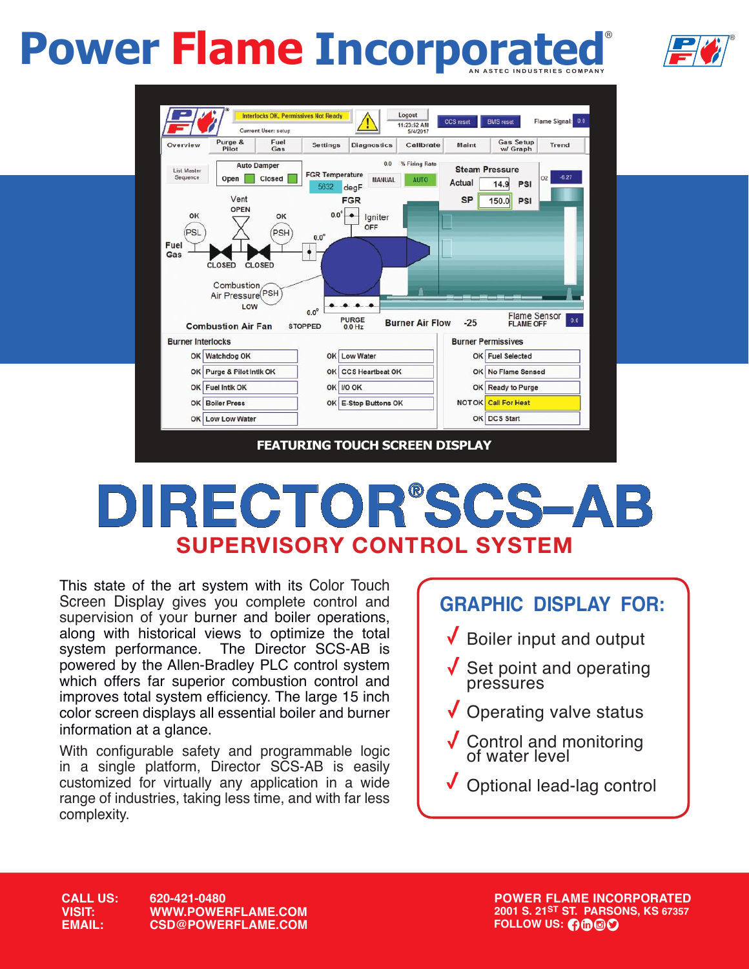### ®  **Power Flame Incorporated**





# **DIRECTOR® SCS–AB SUPERVISORY CONTROL SYSTEM**

This state of the art system with its Color Touch Screen Display gives you complete control and supervision of your burner and boiler operations, along with historical views to optimize the total system performance. The Director SCS-AB is The Director SCS-AB is powered by the Allen-Bradley PLC control system which offers far superior combustion control and improves total system efficiency. The large 15 inch color screen displays all essential boiler and burner information at a glance.

With configurable safety and programmable logic in a single platform, Director SCS-AB is easily customized for virtually any application in a wide range of industries, taking less time, and with far less complexity.



**CALL US: 620-421-0480 VISIT: WWW.POWERFLAME.COM EMAIL: CSD@POWERFLAME.COM** **POWER FLAME INCORPORATED 2001 S. 21ST ST. PARSONS, KS 67357 FOLLOW US: 0000**